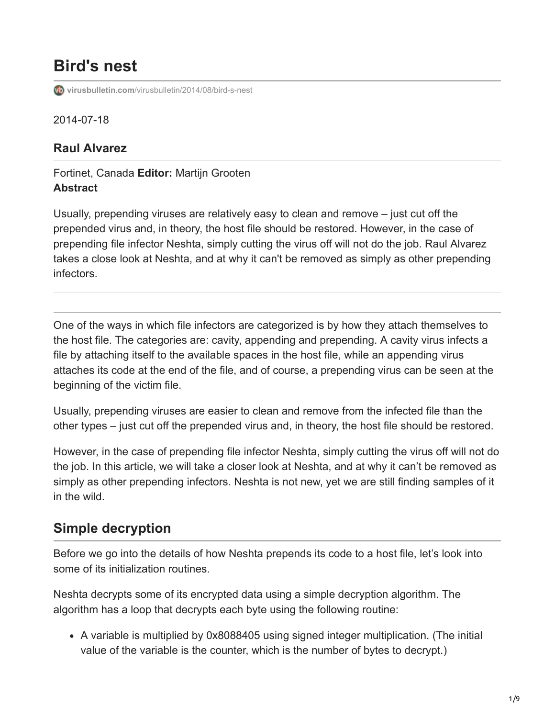# **Bird's nest**

**virusbulletin.com**[/virusbulletin/2014/08/bird-s-nest](https://www.virusbulletin.com/virusbulletin/2014/08/bird-s-nest)

2014-07-18

#### **Raul Alvarez**

#### Fortinet, Canada **Editor:** Martijn Grooten **Abstract**

Usually, prepending viruses are relatively easy to clean and remove – just cut off the prepended virus and, in theory, the host file should be restored. However, in the case of prepending file infector Neshta, simply cutting the virus off will not do the job. Raul Alvarez takes a close look at Neshta, and at why it can't be removed as simply as other prepending infectors.

One of the ways in which file infectors are categorized is by how they attach themselves to the host file. The categories are: cavity, appending and prepending. A cavity virus infects a file by attaching itself to the available spaces in the host file, while an appending virus attaches its code at the end of the file, and of course, a prepending virus can be seen at the beginning of the victim file.

Usually, prepending viruses are easier to clean and remove from the infected file than the other types – just cut off the prepended virus and, in theory, the host file should be restored.

However, in the case of prepending file infector Neshta, simply cutting the virus off will not do the job. In this article, we will take a closer look at Neshta, and at why it can't be removed as simply as other prepending infectors. Neshta is not new, yet we are still finding samples of it in the wild.

### **Simple decryption**

Before we go into the details of how Neshta prepends its code to a host file, let's look into some of its initialization routines.

Neshta decrypts some of its encrypted data using a simple decryption algorithm. The algorithm has a loop that decrypts each byte using the following routine:

A variable is multiplied by 0x8088405 using signed integer multiplication. (The initial value of the variable is the counter, which is the number of bytes to decrypt.)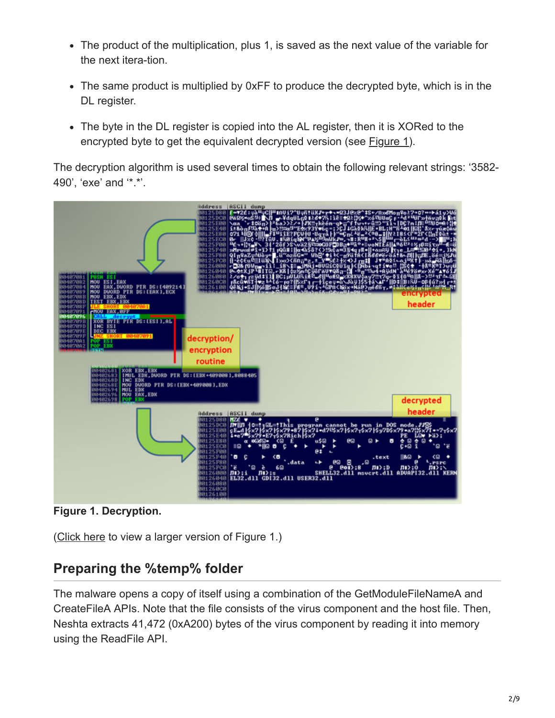- The product of the multiplication, plus 1, is saved as the next value of the variable for the next itera-tion.
- The same product is multiplied by 0xFF to produce the decrypted byte, which is in the DL register.
- The byte in the DL register is copied into the AL register, then it is XORed to the encrypted byte to get the equivalent decrypted version (see **Figure 1**).

The decryption algorithm is used several times to obtain the following relevant strings: '3582- 490', 'exe' and '\*.\*'.



**Figure 1. Decryption.**

([Click here](https://www.virusbulletin.com/uploads/images/figures/2014/07/Neshta-1-large.jpg) to view a larger version of Figure 1.)

### **Preparing the %temp% folder**

The malware opens a copy of itself using a combination of the GetModuleFileNameA and CreateFileA APIs. Note that the file consists of the virus component and the host file. Then, Neshta extracts 41,472 (0xA200) bytes of the virus component by reading it into memory using the ReadFile API.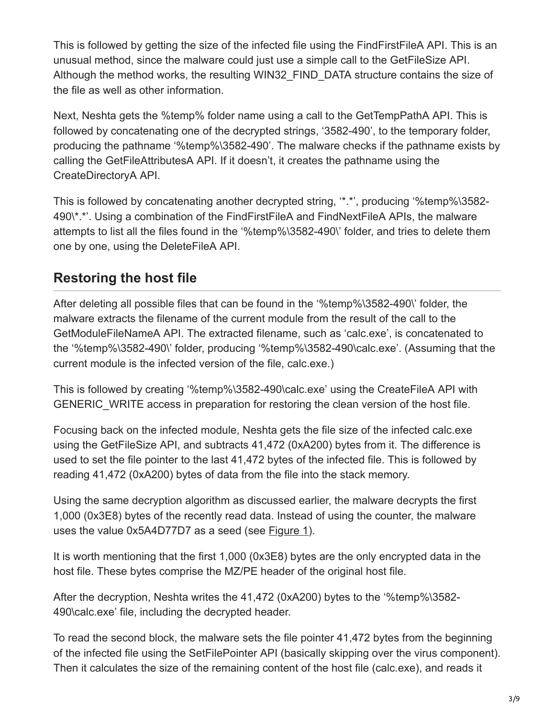This is followed by getting the size of the infected file using the FindFirstFileA API. This is an unusual method, since the malware could just use a simple call to the GetFileSize API. Although the method works, the resulting WIN32 FIND DATA structure contains the size of the file as well as other information.

Next, Neshta gets the %temp% folder name using a call to the GetTempPathA API. This is followed by concatenating one of the decrypted strings, '3582-490', to the temporary folder, producing the pathname '%temp%\3582-490'. The malware checks if the pathname exists by calling the GetFileAttributesA API. If it doesn't, it creates the pathname using the CreateDirectoryA API.

This is followed by concatenating another decrypted string, '\*.\*', producing '%temp%\3582- 490\\*.\*'. Using a combination of the FindFirstFileA and FindNextFileA APIs, the malware attempts to list all the files found in the '%temp%\3582-490\' folder, and tries to delete them one by one, using the DeleteFileA API.

## **Restoring the host file**

After deleting all possible files that can be found in the '%temp%\3582-490\' folder, the malware extracts the filename of the current module from the result of the call to the GetModuleFileNameA API. The extracted filename, such as 'calc.exe', is concatenated to the '%temp%\3582-490\' folder, producing '%temp%\3582-490\calc.exe'. (Assuming that the current module is the infected version of the file, calc.exe.)

This is followed by creating '%temp%\3582-490\calc.exe' using the CreateFileA API with GENERIC WRITE access in preparation for restoring the clean version of the host file.

Focusing back on the infected module, Neshta gets the file size of the infected calc.exe using the GetFileSize API, and subtracts 41,472 (0xA200) bytes from it. The difference is used to set the file pointer to the last 41,472 bytes of the infected file. This is followed by reading 41,472 (0xA200) bytes of data from the file into the stack memory.

Using the same decryption algorithm as discussed earlier, the malware decrypts the first 1,000 (0x3E8) bytes of the recently read data. Instead of using the counter, the malware uses the value 0x5A4D77D7 as a seed (see Figure 1).

It is worth mentioning that the first 1,000 (0x3E8) bytes are the only encrypted data in the host file. These bytes comprise the MZ/PE header of the original host file.

After the decryption, Neshta writes the 41,472 (0xA200) bytes to the '%temp%\3582- 490\calc.exe' file, including the decrypted header.

To read the second block, the malware sets the file pointer 41,472 bytes from the beginning of the infected file using the SetFilePointer API (basically skipping over the virus component). Then it calculates the size of the remaining content of the host file (calc.exe), and reads it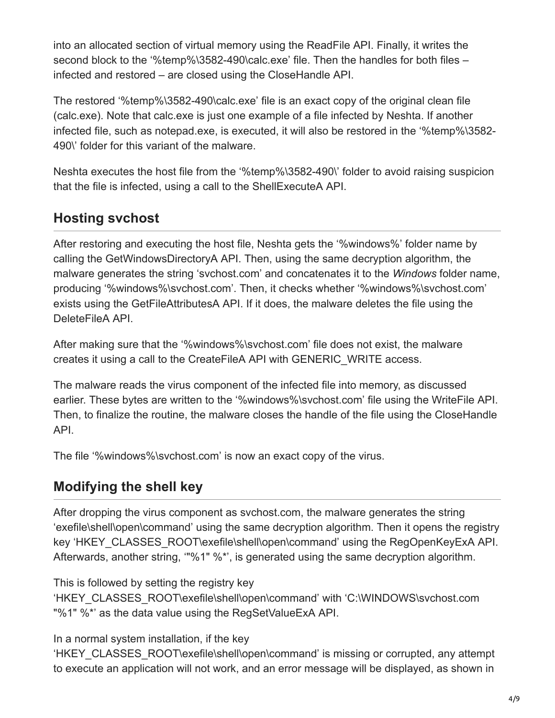into an allocated section of virtual memory using the ReadFile API. Finally, it writes the second block to the '%temp%\3582-490\calc.exe' file. Then the handles for both files – infected and restored – are closed using the CloseHandle API.

The restored '%temp%\3582-490\calc.exe' file is an exact copy of the original clean file (calc.exe). Note that calc.exe is just one example of a file infected by Neshta. If another infected file, such as notepad.exe, is executed, it will also be restored in the '%temp%\3582- 490\' folder for this variant of the malware.

Neshta executes the host file from the '%temp%\3582-490\' folder to avoid raising suspicion that the file is infected, using a call to the ShellExecuteA API.

## **Hosting svchost**

After restoring and executing the host file, Neshta gets the '%windows%' folder name by calling the GetWindowsDirectoryA API. Then, using the same decryption algorithm, the malware generates the string 'svchost.com' and concatenates it to the *Windows* folder name, producing '%windows%\svchost.com'. Then, it checks whether '%windows%\svchost.com' exists using the GetFileAttributesA API. If it does, the malware deletes the file using the DeleteFileA API.

After making sure that the '%windows%\svchost.com' file does not exist, the malware creates it using a call to the CreateFileA API with GENERIC\_WRITE access.

The malware reads the virus component of the infected file into memory, as discussed earlier. These bytes are written to the '%windows%\svchost.com' file using the WriteFile API. Then, to finalize the routine, the malware closes the handle of the file using the CloseHandle API.

The file '%windows%\svchost.com' is now an exact copy of the virus.

### **Modifying the shell key**

After dropping the virus component as svchost.com, the malware generates the string 'exefile\shell\open\command' using the same decryption algorithm. Then it opens the registry key 'HKEY\_CLASSES\_ROOT\exefile\shell\open\command' using the RegOpenKeyExA API. Afterwards, another string, '"%1" %\*', is generated using the same decryption algorithm.

This is followed by setting the registry key

'HKEY\_CLASSES\_ROOT\exefile\shell\open\command' with 'C:\WINDOWS\svchost.com "%1" %\*' as the data value using the RegSetValueExA API.

In a normal system installation, if the key

'HKEY\_CLASSES\_ROOT\exefile\shell\open\command' is missing or corrupted, any attempt to execute an application will not work, and an error message will be displayed, as shown in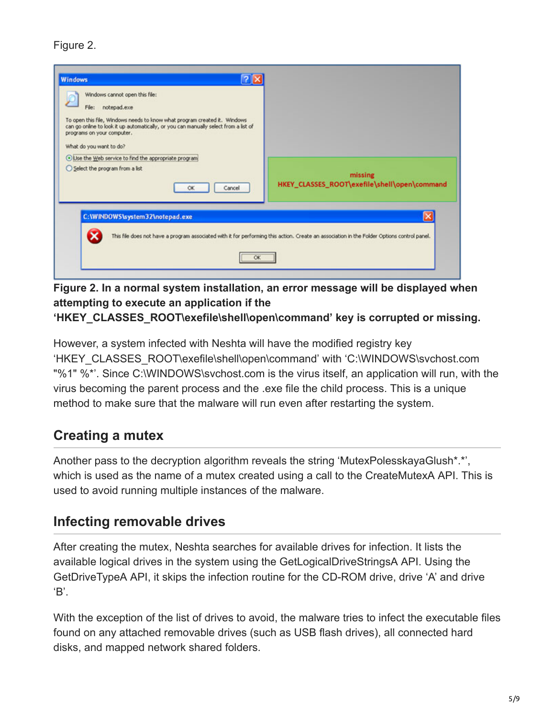#### Figure 2.

| <b>Windows</b><br>Windows cannot open this file:<br>File:<br>notepad.exe<br>To open this file, Windows needs to know what program created it. Windows<br>can go online to look it up automatically, or you can manually select from a list of<br>programs on your computer.<br>What do you want to do?<br>Use the Web service to find the appropriate program<br>Select the program from a list<br>Cancel<br><b>OK</b> | missing<br>HKEY_CLASSES_ROOT\exefile\shell\open\command                                                                                     |
|------------------------------------------------------------------------------------------------------------------------------------------------------------------------------------------------------------------------------------------------------------------------------------------------------------------------------------------------------------------------------------------------------------------------|---------------------------------------------------------------------------------------------------------------------------------------------|
| C:\WINDOWS\system32\notepad.exe<br>OK                                                                                                                                                                                                                                                                                                                                                                                  | This file does not have a program associated with it for performing this action. Create an association in the Folder Options control panel. |

**Figure 2. In a normal system installation, an error message will be displayed when attempting to execute an application if the**

**'HKEY\_CLASSES\_ROOT\exefile\shell\open\command' key is corrupted or missing.**

However, a system infected with Neshta will have the modified registry key 'HKEY\_CLASSES\_ROOT\exefile\shell\open\command' with 'C:\WINDOWS\svchost.com "%1" %\*'. Since C:\WINDOWS\svchost.com is the virus itself, an application will run, with the virus becoming the parent process and the .exe file the child process. This is a unique method to make sure that the malware will run even after restarting the system.

### **Creating a mutex**

Another pass to the decryption algorithm reveals the string 'MutexPolesskayaGlush\*.\*', which is used as the name of a mutex created using a call to the CreateMutexA API. This is used to avoid running multiple instances of the malware.

### **Infecting removable drives**

After creating the mutex, Neshta searches for available drives for infection. It lists the available logical drives in the system using the GetLogicalDriveStringsA API. Using the GetDriveTypeA API, it skips the infection routine for the CD-ROM drive, drive 'A' and drive 'B'.

With the exception of the list of drives to avoid, the malware tries to infect the executable files found on any attached removable drives (such as USB flash drives), all connected hard disks, and mapped network shared folders.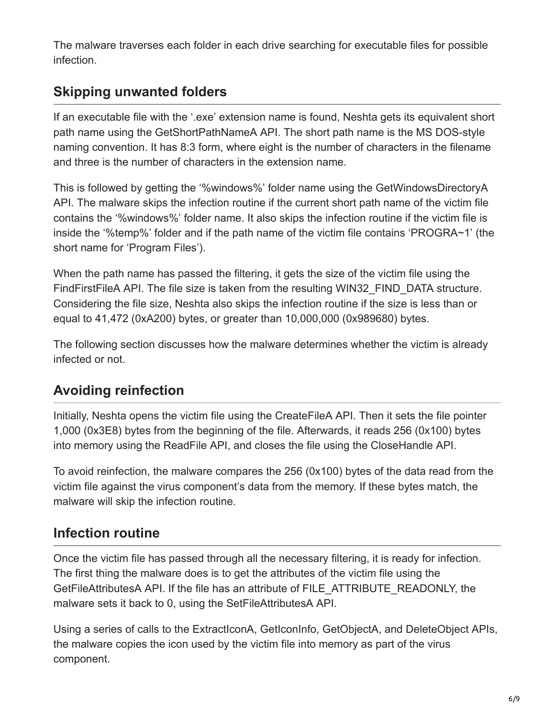The malware traverses each folder in each drive searching for executable files for possible infection.

## **Skipping unwanted folders**

If an executable file with the '.exe' extension name is found, Neshta gets its equivalent short path name using the GetShortPathNameA API. The short path name is the MS DOS-style naming convention. It has 8:3 form, where eight is the number of characters in the filename and three is the number of characters in the extension name.

This is followed by getting the '%windows%' folder name using the GetWindowsDirectoryA API. The malware skips the infection routine if the current short path name of the victim file contains the '%windows%' folder name. It also skips the infection routine if the victim file is inside the '%temp%' folder and if the path name of the victim file contains 'PROGRA~1' (the short name for 'Program Files').

When the path name has passed the filtering, it gets the size of the victim file using the FindFirstFileA API. The file size is taken from the resulting WIN32\_FIND\_DATA structure. Considering the file size, Neshta also skips the infection routine if the size is less than or equal to 41,472 (0xA200) bytes, or greater than 10,000,000 (0x989680) bytes.

The following section discusses how the malware determines whether the victim is already infected or not.

## **Avoiding reinfection**

Initially, Neshta opens the victim file using the CreateFileA API. Then it sets the file pointer 1,000 (0x3E8) bytes from the beginning of the file. Afterwards, it reads 256 (0x100) bytes into memory using the ReadFile API, and closes the file using the CloseHandle API.

To avoid reinfection, the malware compares the 256 (0x100) bytes of the data read from the victim file against the virus component's data from the memory. If these bytes match, the malware will skip the infection routine.

## **Infection routine**

Once the victim file has passed through all the necessary filtering, it is ready for infection. The first thing the malware does is to get the attributes of the victim file using the GetFileAttributesA API. If the file has an attribute of FILE\_ATTRIBUTE\_READONLY, the malware sets it back to 0, using the SetFileAttributesA API.

Using a series of calls to the ExtractIconA, GetIconInfo, GetObjectA, and DeleteObject APIs, the malware copies the icon used by the victim file into memory as part of the virus component.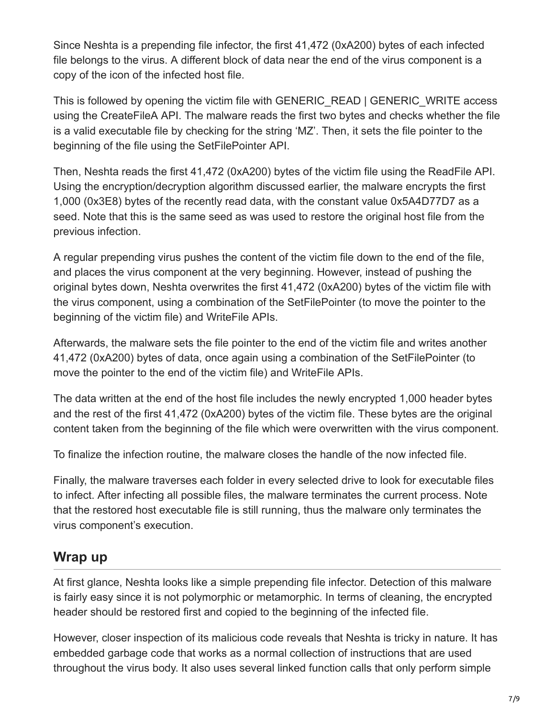Since Neshta is a prepending file infector, the first 41,472 (0xA200) bytes of each infected file belongs to the virus. A different block of data near the end of the virus component is a copy of the icon of the infected host file.

This is followed by opening the victim file with GENERIC READ | GENERIC WRITE access using the CreateFileA API. The malware reads the first two bytes and checks whether the file is a valid executable file by checking for the string 'MZ'. Then, it sets the file pointer to the beginning of the file using the SetFilePointer API.

Then, Neshta reads the first 41,472 (0xA200) bytes of the victim file using the ReadFile API. Using the encryption/decryption algorithm discussed earlier, the malware encrypts the first 1,000 (0x3E8) bytes of the recently read data, with the constant value 0x5A4D77D7 as a seed. Note that this is the same seed as was used to restore the original host file from the previous infection.

A regular prepending virus pushes the content of the victim file down to the end of the file, and places the virus component at the very beginning. However, instead of pushing the original bytes down, Neshta overwrites the first 41,472 (0xA200) bytes of the victim file with the virus component, using a combination of the SetFilePointer (to move the pointer to the beginning of the victim file) and WriteFile APIs.

Afterwards, the malware sets the file pointer to the end of the victim file and writes another 41,472 (0xA200) bytes of data, once again using a combination of the SetFilePointer (to move the pointer to the end of the victim file) and WriteFile APIs.

The data written at the end of the host file includes the newly encrypted 1,000 header bytes and the rest of the first 41,472 (0xA200) bytes of the victim file. These bytes are the original content taken from the beginning of the file which were overwritten with the virus component.

To finalize the infection routine, the malware closes the handle of the now infected file.

Finally, the malware traverses each folder in every selected drive to look for executable files to infect. After infecting all possible files, the malware terminates the current process. Note that the restored host executable file is still running, thus the malware only terminates the virus component's execution.

### **Wrap up**

At first glance, Neshta looks like a simple prepending file infector. Detection of this malware is fairly easy since it is not polymorphic or metamorphic. In terms of cleaning, the encrypted header should be restored first and copied to the beginning of the infected file.

However, closer inspection of its malicious code reveals that Neshta is tricky in nature. It has embedded garbage code that works as a normal collection of instructions that are used throughout the virus body. It also uses several linked function calls that only perform simple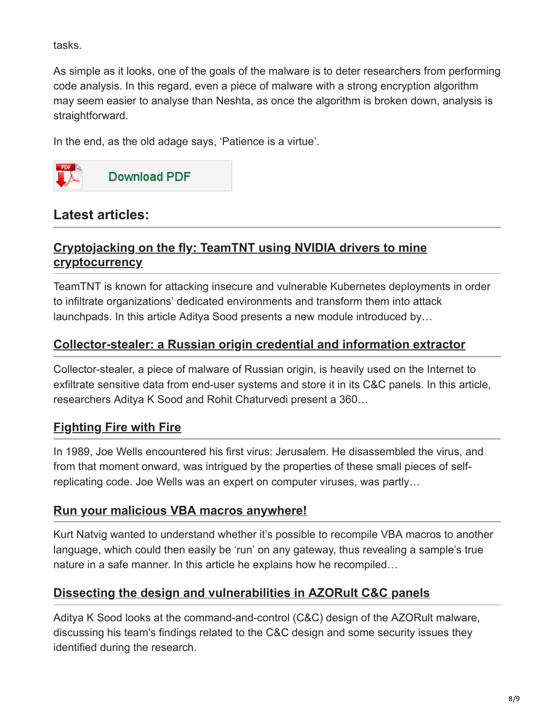tasks.

As simple as it looks, one of the goals of the malware is to deter researchers from performing code analysis. In this regard, even a piece of malware with a strong encryption algorithm may seem easier to analyse than Neshta, as once the algorithm is broken down, analysis is straightforward.

In the end, as the old adage says, 'Patience is a virtue'.



### **Latest articles:**

#### **[Cryptojacking on the fly: TeamTNT using NVIDIA drivers to mine](https://www.virusbulletin.com/virusbulletin/2022/04/cryptojacking-fly-teamtnt-using-nvidia-drivers-mine-cryptocurrency/) cryptocurrency**

TeamTNT is known for attacking insecure and vulnerable Kubernetes deployments in order to infiltrate organizations' dedicated environments and transform them into attack launchpads. In this article Aditya Sood presents a new module introduced by…

#### **[Collector-stealer: a Russian origin credential and information extractor](https://www.virusbulletin.com/virusbulletin/2021/12/collector-stealer-russian-origin-credential-and-information-extractor/)**

Collector-stealer, a piece of malware of Russian origin, is heavily used on the Internet to exfiltrate sensitive data from end-user systems and store it in its C&C panels. In this article, researchers Aditya K Sood and Rohit Chaturvedi present a 360…

### **[Fighting Fire with Fire](https://www.virusbulletin.com/virusbulletin/2021/06/fighting-fire-fire/)**

In 1989, Joe Wells encountered his first virus: Jerusalem. He disassembled the virus, and from that moment onward, was intrigued by the properties of these small pieces of selfreplicating code. Joe Wells was an expert on computer viruses, was partly…

#### **[Run your malicious VBA macros anywhere!](https://www.virusbulletin.com/virusbulletin/2021/04/run-your-malicious-vba-macros-anywhere/)**

Kurt Natvig wanted to understand whether it's possible to recompile VBA macros to another language, which could then easily be 'run' on any gateway, thus revealing a sample's true nature in a safe manner. In this article he explains how he recompiled…

#### **[Dissecting the design and vulnerabilities in AZORult C&C panels](https://www.virusbulletin.com/virusbulletin/2021/04/dissecting-design-and-vulnerabilities-azorultccpanels/)**

Aditya K Sood looks at the command-and-control (C&C) design of the AZORult malware, discussing his team's findings related to the C&C design and some security issues they identified during the research.